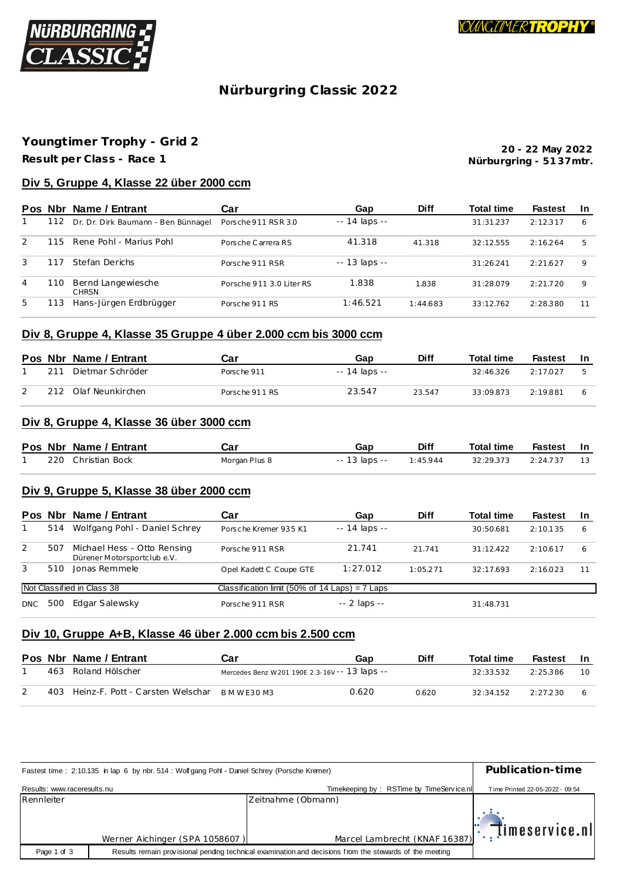

# **Nürburgring C lassic 2022**

# **Youngt imer Trophy - Grid 2**

**Result per Class - Race 1**

**Nürburgring - 51 37mtr. 20 - 22 May 2022**

## **Div 5, Gruppe 4, Klasse 22 über 2000 ccm**

|               | Pos Nbr | Name / Entrant                      | Car                      | Gap                 | <b>Diff</b> | Total time | <b>Fastest</b> | -In |
|---------------|---------|-------------------------------------|--------------------------|---------------------|-------------|------------|----------------|-----|
|               | 112     | Dr. Dr. Dirk Baumann - Ben Bünnagel | Porsche 911 RSR 3.0      | $- - 14$ laps $- -$ |             | 31:31.237  | 2:12.317       | 6   |
| $\mathcal{P}$ | 115     | Rene Pohl - Marius Pohl             | Porsche Carrera RS       | 41.318              | 41.318      | 32:12.555  | 2:16.264       | 5   |
| 3             | 117     | Stefan Derichs                      | Porsche 911 RSR          | $- - 13$ laps $- -$ |             | 31:26.241  | 2:21.627       | 9   |
| 4             | 110     | Bernd Langewiesche<br><b>CHRSN</b>  | Porsche 911 3.0 Liter RS | 1.838               | 1.838       | 31.28079   | 2:21.720       | 9   |
| 5.            | 113     | Hans-Jürgen Erdbrügger              | Porsche 911 RS           | 1:46.521            | 1:44.683    | 33:12.762  | 2:28.380       | 11  |

## **Div 8, Gruppe 4, Klasse 35 Gruppe 4 über 2.000 ccm bis 3000 ccm**

|     | Pos Nbr Name / Entrant | Car            | Gap           | <b>Diff</b> | <b>Total time</b> | Fastest  | - In |
|-----|------------------------|----------------|---------------|-------------|-------------------|----------|------|
| 211 | Dietmar Schröder       | Porsche 911    | -- 14 laps -- |             | 32:46.326         | 2:17.027 |      |
| 212 | Olaf Neunkirchen       | Porsche 911 RS | 23.547        | 23.547      | 33:09.873         | 2:19.881 |      |

### **Div 8, Gruppe 4, Klasse 36 über 3000 ccm**

|  | Pos Nbr Name / Entrant | Car           | Gap           | <b>Diff</b> | <b>Total time</b> | Fastest In |  |
|--|------------------------|---------------|---------------|-------------|-------------------|------------|--|
|  | 220 Christian Bock     | Morgan Plus 8 | -- 13 laps -- | 1:45.944    | 32:29.373         | 2:24.737   |  |

## **Div 9, Gruppe 5, Klasse 38 über 2000 ccm**

| <b>Pos</b> |     | Nbr Name / Entrant                                         | Car                                              | Gap                 | <b>Diff</b> | <b>Total time</b> | <b>Fastest</b> | -In |
|------------|-----|------------------------------------------------------------|--------------------------------------------------|---------------------|-------------|-------------------|----------------|-----|
|            | 514 | Wolfgang Pohl - Daniel Schrey                              | Porsche Kremer 935 K1                            | $- - 14$ laps $- -$ |             | 30:50.681         | 2:10.135       | 6   |
| 2          | 507 | Michael Hess - Otto Rensing<br>Dürener Motorsportclub e.V. | Porsche 911 RSR                                  | 21.741              | 21.741      | 31:12.422         | 2:10.617       | 6   |
| 3          | 510 | Jonas Remmele                                              | Opel Kadett C Coupe GTE                          | 1:27.012            | 1:05.271    | 32:17.693         | 2:16.023       | 11  |
|            |     | Not Classified in Class 38                                 | Classification limit (50% of 14 Laps) = $7$ Laps |                     |             |                   |                |     |
| <b>DNC</b> | 500 | Edgar Salewsky                                             | Porsche 911 RSR                                  | $-2$ laps $-$       |             | 31:48.731         |                |     |

#### **Div 10, Gruppe A+B, Klasse 46 über 2.000 ccm bis 2.500 ccm**

|  | Pos Nbr Name / Entrant               | Car                                            | Gap   | Diff  | <b>Total time</b> | Fastest  | <b>In</b> |
|--|--------------------------------------|------------------------------------------------|-------|-------|-------------------|----------|-----------|
|  | 463 Roland Hölscher                  | Mercedes Benz W 201 190E 2.3-16V -- 13 laps -- |       |       | 32:33.532         | 2:25.386 | - 10      |
|  | 403 Heinz-F. Pott - Carsten Welschar | B M W F 30 M 3                                 | 0.620 | 0.620 | 32.34152          | 2:27.230 |           |

|                             | Fastest time: 2:10.135 in lap 6 by nbr. 514 : Wolfgang Pohl - Daniel Schrey (Porsche Kremer) |                                                                                                         |                                              |  |  |  |  |
|-----------------------------|----------------------------------------------------------------------------------------------|---------------------------------------------------------------------------------------------------------|----------------------------------------------|--|--|--|--|
| Results: www.raceresults.nu |                                                                                              | Timekeeping by: RSTime by TimeService nl                                                                | Time Printed 22-05-2022 - 09:54              |  |  |  |  |
| Rennleiter                  |                                                                                              | Zeitnahme (Obmann)                                                                                      |                                              |  |  |  |  |
|                             | Werner Aichinger (SPA 1058607)                                                               | Marcel Lambrecht (KNAF 16387)                                                                           | $\left\Vert \cdot\right\Vert$ (imeservice.nl |  |  |  |  |
| Page 1 of 3                 |                                                                                              | Results remain provisional pending technical examination and decisions from the stewards of the meeting |                                              |  |  |  |  |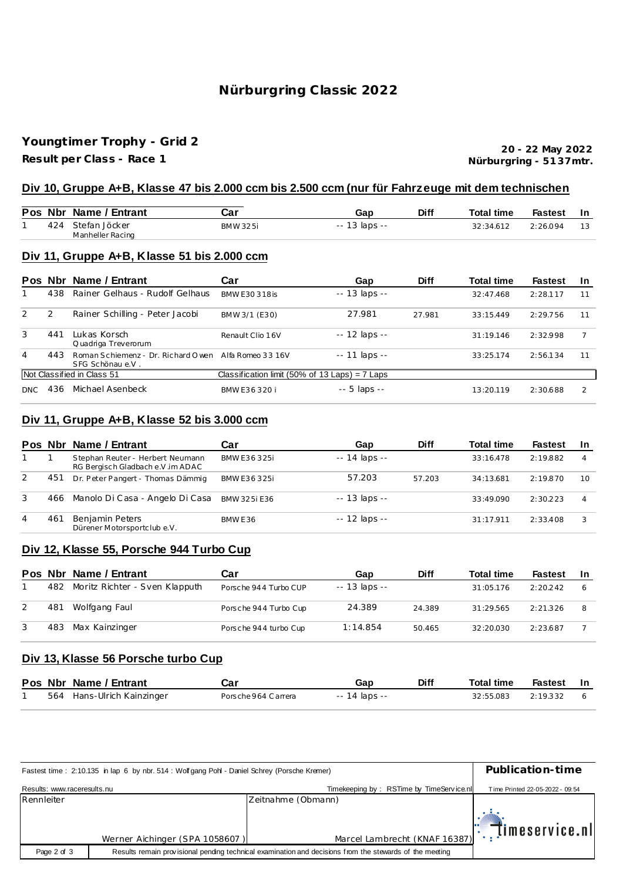# **Nürburgring C lassic 2022**

## **Youngt imer Trophy - Grid 2**

**Result per Class - Race 1**

**Nürburgring - 51 37mtr. 20 - 22 May 2022**

#### **Div 10, Gruppe A+B, Klasse 47 bis 2.000 ccm bis 2.500 ccm (nur für Fahrzeuge mit dem technischen**

|  | Pos Nbr Name / Entrant                | Car      | Gap           | Diff | <b>Total time</b> | <b>Fastest</b> |    |
|--|---------------------------------------|----------|---------------|------|-------------------|----------------|----|
|  | 424 Stefan Jöcker<br>Manheller Racing | BMW 325i | -- 13 laps -- |      | 32:34.612         | 2:26.094       | 13 |

#### **Div 11, Gruppe A+B, Klasse 51 bis 2.000 ccm**

| <b>Pos</b>     |     | Nbr Name / Entrant                                                       | Car                                              | Gap            | <b>Diff</b> | <b>Total time</b> | <b>Fastest</b> | <u>In</u>     |
|----------------|-----|--------------------------------------------------------------------------|--------------------------------------------------|----------------|-------------|-------------------|----------------|---------------|
|                | 438 | Rainer Gelhaus - Rudolf Gelhaus                                          | BMW F30 318 is                                   | $-13$ laps $-$ |             | 32:47.468         | 2:28.117       | 11            |
| 2              | 2   | Rainer Schilling - Peter Jacobi                                          | BMW 3/1 (E30)                                    | 27.981         | 27.981      | 33:15.449         | 2:29.756       | 11            |
| 3              | 441 | Lukas Korsch<br>Quadriga Treverorum                                      | Renault Clio 16V                                 | $-12$ laps $-$ |             | 31:19.146         | 2:32.998       |               |
| $\overline{4}$ | 443 | Roman Schiemenz - Dr. Richard Owen Alfa Romeo 33 16V<br>SFG Schönau e.V. |                                                  | $-11$ laps $-$ |             | 33:25.174         | 2:56.134       | 11            |
|                |     | Not Classified in Class 51                                               | Classification limit (50% of 13 Laps) = $7$ Laps |                |             |                   |                |               |
| DNC.           | 436 | Michael Asenbeck                                                         | BMW F36320 i                                     | $-5$ laps $-$  |             | 13:20.119         | 2:30.688       | $\mathcal{P}$ |

## **Div 11, Gruppe A+B, Klasse 52 bis 3.000 ccm**

|   | Pos Nbr | Name / Entrant                                                        | Car          | Gap                 | <b>Diff</b> | <b>Total time</b> | <b>Fastest</b> | -In |
|---|---------|-----------------------------------------------------------------------|--------------|---------------------|-------------|-------------------|----------------|-----|
|   |         | Stephan Reuter - Herbert Neumann<br>RG Bergisch Gladbach e.V. im ADAC | BMW E36325i  | $- - 14$ laps $- -$ |             | 33:16.478         | 2:19.882       |     |
| 2 | 451     | Dr. Peter Pangert - Thomas Dämmig                                     | BMW E36325i  | 57.203              | 57.203      | 34:13.681         | 2:19.870       | 10  |
| 3 | 466     | Manolo Di Casa - Angelo Di Casa                                       | BMW 325i F36 | $- - 13$ laps $- -$ |             | 33:49.090         | 2:30.223       |     |
| 4 | 461     | Benjamin Peters<br>Dürener Motorsportclub e.V.                        | BMW E36      | -- 12 laps --       |             | 31:17.911         | 2:33.408       |     |

## **Div 12, Klasse 55, Porsche 944 Turbo Cup**

|     | Pos Nbr Name / Entrant             | Car                   | Gap           | <b>Diff</b> | <b>Total time</b> | Fastest  | -In |
|-----|------------------------------------|-----------------------|---------------|-------------|-------------------|----------|-----|
|     | 482 Moritz Richter - Sven Klapputh | Porsche 944 Turbo CUP | -- 13 laps -- |             | 31:05.176         | 2.20242  | 6   |
| 481 | Wolfgang Faul                      | Porsche 944 Turbo Cup | 24.389        | 24.389      | 31:29.565         | 2:21.326 | 8   |
| 483 | Max Kainzinger                     | Porsche 944 turbo Cup | 1:14.854      | 50.465      | 32:20.030         | 2:23.687 |     |

### **Div 13, Klasse 56 Porsche turbo Cup**

|  | Pos Nbr Name / Entrant     | Car                 | Gap           | Diff | <b>Total time</b> | Fastest In |  |
|--|----------------------------|---------------------|---------------|------|-------------------|------------|--|
|  | 564 Hans-Ulrich Kainzinger | Porsche 964 Carrera | -- 14 laps -- |      | 32:55.083         | 2:19.332   |  |

|                             | Fastest time: 2:10.135 in lap 6 by nbr. 514: Wolfgang Pohl - Daniel Schrey (Porsche Kremer) |                                                                                                         |                                                |  |  |  |  |
|-----------------------------|---------------------------------------------------------------------------------------------|---------------------------------------------------------------------------------------------------------|------------------------------------------------|--|--|--|--|
| Results: www.raceresults.nu |                                                                                             | Timekeeping by: RSTime by TimeService.nll                                                               | Time Printed 22-05-2022 - 09:54                |  |  |  |  |
| Rennleiter                  |                                                                                             | Zeitnahme (Obmann)                                                                                      |                                                |  |  |  |  |
|                             | Werner Aichinger (SPA 1058607)                                                              | Marcel Lambrecht (KNAF 16387)                                                                           | $\left\Vert \cdot\right\Vert$ . Timeservice nl |  |  |  |  |
| Page 2 of 3                 |                                                                                             | Results remain provisional pending technical examination and decisions from the stewards of the meeting |                                                |  |  |  |  |